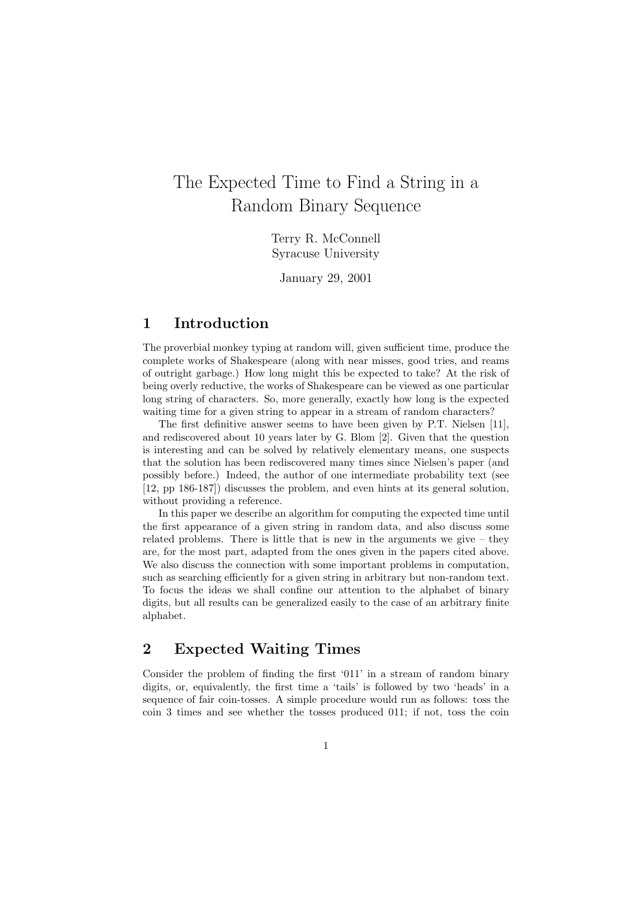# The Expected Time to Find a String in a Random Binary Sequence

Terry R. McConnell Syracuse University

January 29, 2001

## 1 Introduction

The proverbial monkey typing at random will, given sufficient time, produce the complete works of Shakespeare (along with near misses, good tries, and reams of outright garbage.) How long might this be expected to take? At the risk of being overly reductive, the works of Shakespeare can be viewed as one particular long string of characters. So, more generally, exactly how long is the expected waiting time for a given string to appear in a stream of random characters?

The first definitive answer seems to have been given by P.T. Nielsen [11], and rediscovered about 10 years later by G. Blom [2]. Given that the question is interesting and can be solved by relatively elementary means, one suspects that the solution has been rediscovered many times since Nielsen's paper (and possibly before.) Indeed, the author of one intermediate probability text (see [12, pp 186-187]) discusses the problem, and even hints at its general solution, without providing a reference.

In this paper we describe an algorithm for computing the expected time until the first appearance of a given string in random data, and also discuss some related problems. There is little that is new in the arguments we give  $-$  they are, for the most part, adapted from the ones given in the papers cited above. We also discuss the connection with some important problems in computation, such as searching efficiently for a given string in arbitrary but non-random text. To focus the ideas we shall confine our attention to the alphabet of binary digits, but all results can be generalized easily to the case of an arbitrary finite alphabet.

### 2 Expected Waiting Times

Consider the problem of finding the first '011' in a stream of random binary digits, or, equivalently, the first time a 'tails' is followed by two 'heads' in a sequence of fair coin-tosses. A simple procedure would run as follows: toss the coin 3 times and see whether the tosses produced 011; if not, toss the coin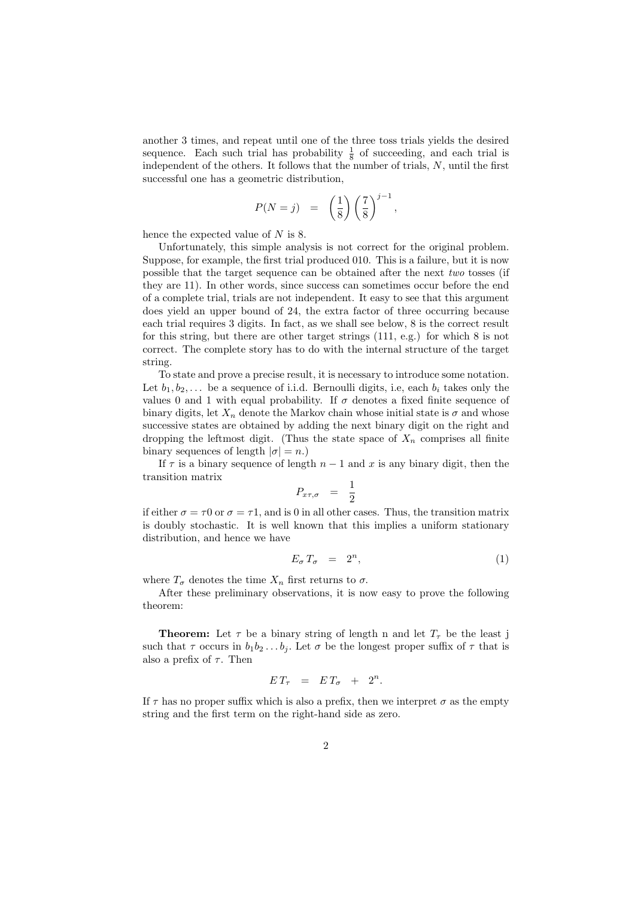another 3 times, and repeat until one of the three toss trials yields the desired sequence. Each such trial has probability  $\frac{1}{8}$  of succeeding, and each trial is independent of the others. It follows that the number of trials, N, until the first successful one has a geometric distribution,

$$
P(N = j) = \left(\frac{1}{8}\right) \left(\frac{7}{8}\right)^{j-1}
$$

,

hence the expected value of  $N$  is 8.

Unfortunately, this simple analysis is not correct for the original problem. Suppose, for example, the first trial produced 010. This is a failure, but it is now possible that the target sequence can be obtained after the next two tosses (if they are 11). In other words, since success can sometimes occur before the end of a complete trial, trials are not independent. It easy to see that this argument does yield an upper bound of 24, the extra factor of three occurring because each trial requires 3 digits. In fact, as we shall see below, 8 is the correct result for this string, but there are other target strings (111, e.g.) for which 8 is not correct. The complete story has to do with the internal structure of the target string.

To state and prove a precise result, it is necessary to introduce some notation. Let  $b_1, b_2, \ldots$  be a sequence of i.i.d. Bernoulli digits, i.e, each  $b_i$  takes only the values 0 and 1 with equal probability. If  $\sigma$  denotes a fixed finite sequence of binary digits, let  $X_n$  denote the Markov chain whose initial state is  $\sigma$  and whose successive states are obtained by adding the next binary digit on the right and dropping the leftmost digit. (Thus the state space of  $X_n$  comprises all finite binary sequences of length  $|\sigma| = n$ .)

If  $\tau$  is a binary sequence of length  $n-1$  and x is any binary digit, then the transition matrix

$$
P_{x\tau,\sigma} = \frac{1}{2}
$$

if either  $\sigma = \tau 0$  or  $\sigma = \tau 1$ , and is 0 in all other cases. Thus, the transition matrix is doubly stochastic. It is well known that this implies a uniform stationary distribution, and hence we have

$$
E_{\sigma} T_{\sigma} = 2^n, \tag{1}
$$

where  $T_{\sigma}$  denotes the time  $X_n$  first returns to  $\sigma$ .

After these preliminary observations, it is now easy to prove the following theorem:

**Theorem:** Let  $\tau$  be a binary string of length n and let  $T_{\tau}$  be the least j such that  $\tau$  occurs in  $b_1b_2 \ldots b_j$ . Let  $\sigma$  be the longest proper suffix of  $\tau$  that is also a prefix of  $\tau$ . Then

$$
ET_{\tau} = ET_{\sigma} + 2^n.
$$

If  $\tau$  has no proper suffix which is also a prefix, then we interpret  $\sigma$  as the empty string and the first term on the right-hand side as zero.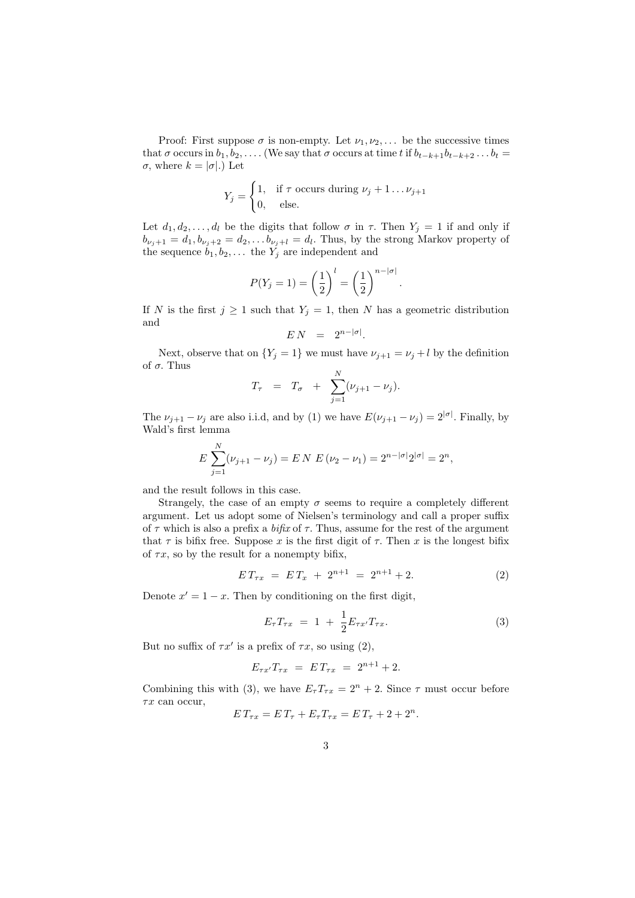Proof: First suppose  $\sigma$  is non-empty. Let  $\nu_1, \nu_2, \ldots$  be the successive times that  $\sigma$  occurs in  $b_1, b_2, \ldots$  (We say that  $\sigma$  occurs at time t if  $b_{t-k+1}b_{t-k+2} \ldots b_t =$  $\sigma$ , where  $k = |\sigma|$ .) Let

$$
Y_j = \begin{cases} 1, & \text{if } \tau \text{ occurs during } \nu_j + 1 \dots \nu_{j+1} \\ 0, & \text{else.} \end{cases}
$$

Let  $d_1, d_2, \ldots, d_l$  be the digits that follow  $\sigma$  in  $\tau$ . Then  $Y_j = 1$  if and only if  $b_{\nu_j+1} = d_1, b_{\nu_j+2} = d_2, \ldots b_{\nu_j+l} = d_l$ . Thus, by the strong Markov property of the sequence  $b_1, b_2, \ldots$  the  $Y_j$  are independent and

$$
P(Y_j = 1) = \left(\frac{1}{2}\right)^l = \left(\frac{1}{2}\right)^{n - |\sigma|}.
$$

If N is the first  $j \ge 1$  such that  $Y_j = 1$ , then N has a geometric distribution and

$$
E N = 2^{n-|\sigma|}.
$$

Next, observe that on  $\{Y_j = 1\}$  we must have  $\nu_{j+1} = \nu_j + l$  by the definition of  $\sigma$ . Thus

$$
T_{\tau} = T_{\sigma} + \sum_{j=1}^{N} (\nu_{j+1} - \nu_j).
$$

The  $\nu_{j+1} - \nu_j$  are also i.i.d, and by (1) we have  $E(\nu_{j+1} - \nu_j) = 2^{|\sigma|}$ . Finally, by Wald's first lemma

$$
E\sum_{j=1}^{N}(\nu_{j+1}-\nu_j)=E N E(\nu_2-\nu_1)=2^{n-|\sigma|}2^{|\sigma|}=2^n,
$$

and the result follows in this case.

 $\mathbf{v}$ 

Strangely, the case of an empty  $\sigma$  seems to require a completely different argument. Let us adopt some of Nielsen's terminology and call a proper suffix of  $\tau$  which is also a prefix a *bifix* of  $\tau$ . Thus, assume for the rest of the argument that  $\tau$  is bifix free. Suppose x is the first digit of  $\tau$ . Then x is the longest bifix of  $\tau x$ , so by the result for a nonempty bifix,

$$
ET_{\tau x} = ET_x + 2^{n+1} = 2^{n+1} + 2. \tag{2}
$$

Denote  $x' = 1 - x$ . Then by conditioning on the first digit,

$$
E_{\tau}T_{\tau x} = 1 + \frac{1}{2}E_{\tau x'}T_{\tau x}.
$$
 (3)

But no suffix of  $\tau x'$  is a prefix of  $\tau x$ , so using (2),

$$
E_{\tau x'} T_{\tau x} = E T_{\tau x} = 2^{n+1} + 2.
$$

Combining this with (3), we have  $E_{\tau}T_{\tau x} = 2^{n} + 2$ . Since  $\tau$  must occur before  $\tau x$  can occur,

$$
E T_{\tau x} = E T_{\tau} + E_{\tau} T_{\tau x} = E T_{\tau} + 2 + 2^{n}.
$$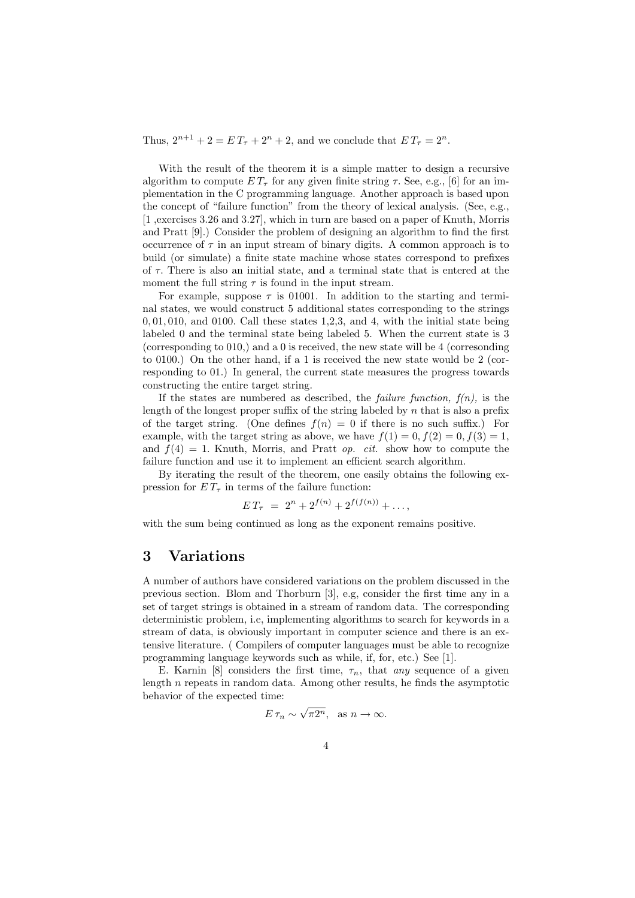Thus,  $2^{n+1} + 2 = ET_{\tau} + 2^n + 2$ , and we conclude that  $ET_{\tau} = 2^n$ .

With the result of the theorem it is a simple matter to design a recursive algorithm to compute  $ET_{\tau}$  for any given finite string  $\tau$ . See, e.g., [6] for an implementation in the C programming language. Another approach is based upon the concept of "failure function" from the theory of lexical analysis. (See, e.g., [1 ,exercises 3.26 and 3.27], which in turn are based on a paper of Knuth, Morris and Pratt [9].) Consider the problem of designing an algorithm to find the first occurrence of  $\tau$  in an input stream of binary digits. A common approach is to build (or simulate) a finite state machine whose states correspond to prefixes of  $\tau$ . There is also an initial state, and a terminal state that is entered at the moment the full string  $\tau$  is found in the input stream.

For example, suppose  $\tau$  is 01001. In addition to the starting and terminal states, we would construct 5 additional states corresponding to the strings  $0, 01, 010$ , and  $0100$ . Call these states 1,2,3, and 4, with the initial state being labeled 0 and the terminal state being labeled 5. When the current state is 3 (corresponding to 010,) and a 0 is received, the new state will be 4 (corresonding to 0100.) On the other hand, if a 1 is received the new state would be 2 (corresponding to 01.) In general, the current state measures the progress towards constructing the entire target string.

If the states are numbered as described, the *failure function*,  $f(n)$ , is the length of the longest proper suffix of the string labeled by  $n$  that is also a prefix of the target string. (One defines  $f(n) = 0$  if there is no such suffix.) For example, with the target string as above, we have  $f(1) = 0, f(2) = 0, f(3) = 1$ , and  $f(4) = 1$ . Knuth, Morris, and Pratt *op. cit.* show how to compute the failure function and use it to implement an efficient search algorithm.

By iterating the result of the theorem, one easily obtains the following expression for  $ET_{\tau}$  in terms of the failure function:

 $ET_{\tau} = 2^{n} + 2^{f(n)} + 2^{f(f(n))} + \ldots$ 

with the sum being continued as long as the exponent remains positive.

#### 3 Variations

A number of authors have considered variations on the problem discussed in the previous section. Blom and Thorburn [3], e.g, consider the first time any in a set of target strings is obtained in a stream of random data. The corresponding deterministic problem, i.e, implementing algorithms to search for keywords in a stream of data, is obviously important in computer science and there is an extensive literature. ( Compilers of computer languages must be able to recognize programming language keywords such as while, if, for, etc.) See [1].

E. Karnin [8] considers the first time,  $\tau_n$ , that any sequence of a given length n repeats in random data. Among other results, he finds the asymptotic behavior of the expected time:

$$
E \tau_n \sim \sqrt{\pi 2^n}, \text{ as } n \to \infty.
$$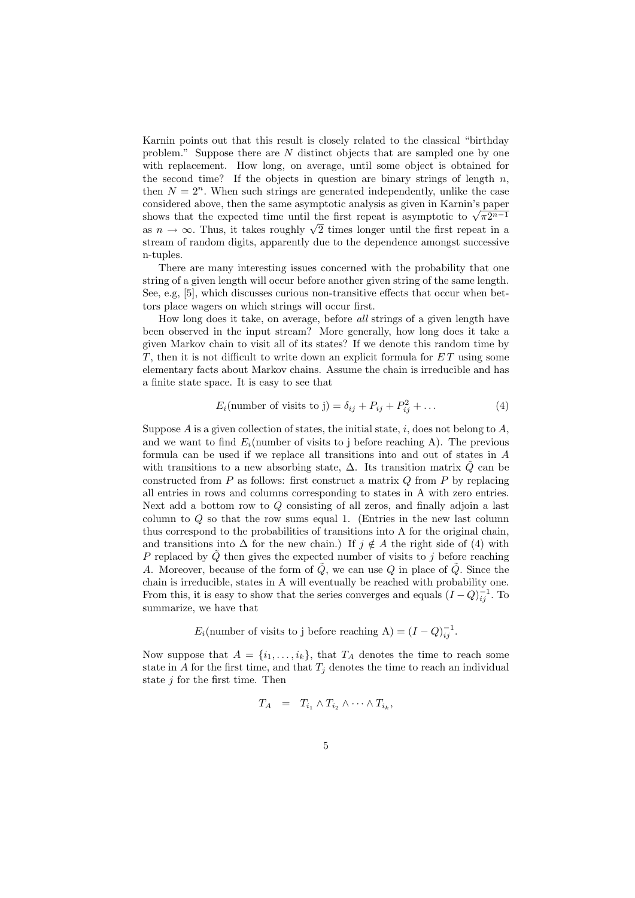Karnin points out that this result is closely related to the classical "birthday problem." Suppose there are N distinct objects that are sampled one by one with replacement. How long, on average, until some object is obtained for the second time? If the objects in question are binary strings of length  $n$ , then  $N = 2<sup>n</sup>$ . When such strings are generated independently, unlike the case considered above, then the same asymptotic analysis as given in Karnin's paper considered above, then the same asymptotic analysis as given in Karnin's paper<br>shows that the expected time until the first repeat is asymptotic to  $\sqrt{\pi}2^{n-1}$ shows that the expected time until the first repeat is asymptotic to  $\sqrt{\pi}2^{n-1}$  as  $n \to \infty$ . Thus, it takes roughly  $\sqrt{2}$  times longer until the first repeat in a stream of random digits, apparently due to the dependence amongst successive n-tuples.

There are many interesting issues concerned with the probability that one string of a given length will occur before another given string of the same length. See, e.g, [5], which discusses curious non-transitive effects that occur when bettors place wagers on which strings will occur first.

How long does it take, on average, before all strings of a given length have been observed in the input stream? More generally, how long does it take a given Markov chain to visit all of its states? If we denote this random time by T, then it is not difficult to write down an explicit formula for  $ET$  using some elementary facts about Markov chains. Assume the chain is irreducible and has a finite state space. It is easy to see that

$$
E_i(\text{number of visits to j}) = \delta_{ij} + P_{ij} + P_{ij}^2 + \dots \tag{4}
$$

Suppose  $A$  is a given collection of states, the initial state,  $i$ , does not belong to  $A$ , and we want to find  $E_i$ (number of visits to j before reaching A). The previous formula can be used if we replace all transitions into and out of states in A with transitions to a new absorbing state,  $\Delta$ . Its transition matrix Q can be constructed from  $P$  as follows: first construct a matrix  $Q$  from  $P$  by replacing all entries in rows and columns corresponding to states in A with zero entries. Next add a bottom row to Q consisting of all zeros, and finally adjoin a last column to Q so that the row sums equal 1. (Entries in the new last column thus correspond to the probabilities of transitions into A for the original chain, and transitions into  $\Delta$  for the new chain.) If  $j \notin A$  the right side of (4) with P replaced by  $\tilde{Q}$  then gives the expected number of visits to j before reaching A. Moreover, because of the form of  $\tilde{Q}$ , we can use Q in place of  $\tilde{Q}$ . Since the chain is irreducible, states in A will eventually be reached with probability one. From this, it is easy to show that the series converges and equals  $(I - Q)_{ij}^{-1}$ . To summarize, we have that

 $E_i$ (number of visits to j before reaching A) =  $(I - Q)^{-1}_{ij}$ .

Now suppose that  $A = \{i_1, \ldots, i_k\}$ , that  $T_A$  denotes the time to reach some state in A for the first time, and that  $T_j$  denotes the time to reach an individual state  $j$  for the first time. Then

$$
T_A = T_{i_1} \wedge T_{i_2} \wedge \cdots \wedge T_{i_k},
$$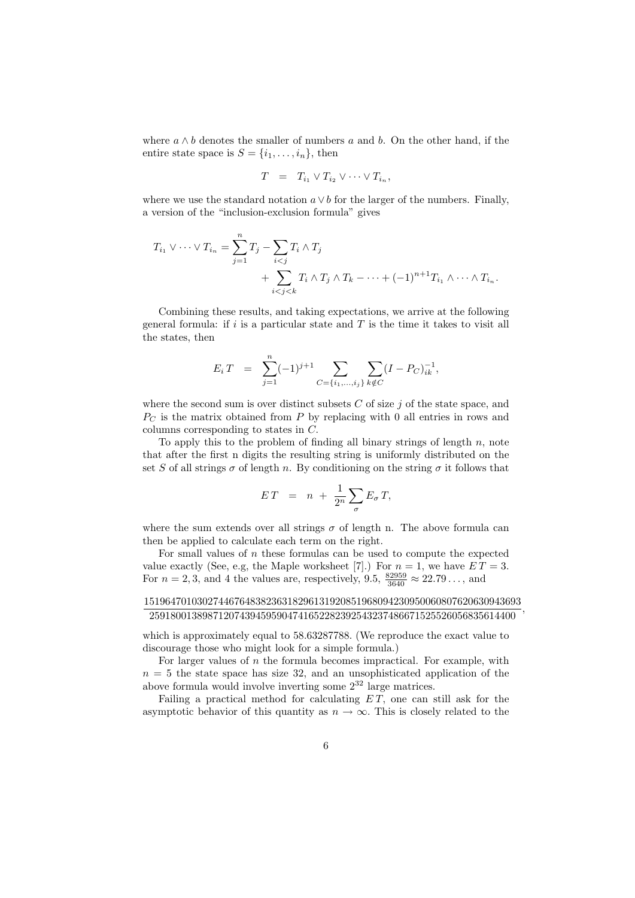where  $a \wedge b$  denotes the smaller of numbers a and b. On the other hand, if the entire state space is  $S = \{i_1, \ldots, i_n\}$ , then

$$
T = T_{i_1} \vee T_{i_2} \vee \cdots \vee T_{i_n},
$$

where we use the standard notation  $a \vee b$  for the larger of the numbers. Finally, a version of the "inclusion-exclusion formula" gives

$$
T_{i_1} \vee \cdots \vee T_{i_n} = \sum_{j=1}^n T_j - \sum_{i < j} T_i \wedge T_j
$$
  
+ 
$$
\sum_{i < j < k} T_i \wedge T_j \wedge T_k - \cdots + (-1)^{n+1} T_{i_1} \wedge \cdots \wedge T_{i_n}.
$$

Combining these results, and taking expectations, we arrive at the following general formula: if  $i$  is a particular state and  $T$  is the time it takes to visit all the states, then

$$
E_i T = \sum_{j=1}^n (-1)^{j+1} \sum_{C=\{i_1,\ldots,i_j\}} \sum_{k \notin C} (I - P_C)_{ik}^{-1},
$$

where the second sum is over distinct subsets  $C$  of size  $j$  of the state space, and  $P<sub>C</sub>$  is the matrix obtained from P by replacing with 0 all entries in rows and columns corresponding to states in C.

To apply this to the problem of finding all binary strings of length  $n$ , note that after the first n digits the resulting string is uniformly distributed on the set S of all strings  $\sigma$  of length n. By conditioning on the string  $\sigma$  it follows that

$$
ET = n + \frac{1}{2^n} \sum_{\sigma} E_{\sigma} T,
$$

where the sum extends over all strings  $\sigma$  of length n. The above formula can then be applied to calculate each term on the right.

For small values of  $n$  these formulas can be used to compute the expected value exactly (See, e.g, the Maple worksheet [7].) For  $n = 1$ , we have  $ET = 3$ . For  $n = 2, 3$ , and 4 the values are, respectively, 9.5,  $\frac{82959}{3640} \approx 22.79...$ , and

15196470103027446764838236318296131920851968094230950060807620630943693 259180013898712074394595904741652282392543237486671525526056835614400 ,

which is approximately equal to 58.63287788. (We reproduce the exact value to discourage those who might look for a simple formula.)

For larger values of  $n$  the formula becomes impractical. For example, with  $n = 5$  the state space has size 32, and an unsophisticated application of the above formula would involve inverting some  $2^{32}$  large matrices.

Failing a practical method for calculating  $ET$ , one can still ask for the asymptotic behavior of this quantity as  $n \to \infty$ . This is closely related to the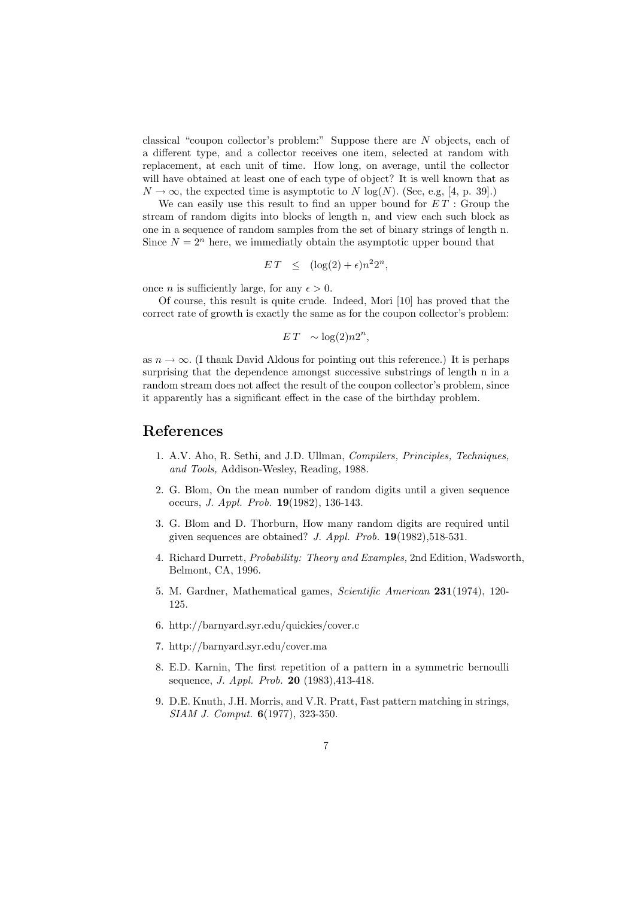classical "coupon collector's problem:" Suppose there are N objects, each of a different type, and a collector receives one item, selected at random with replacement, at each unit of time. How long, on average, until the collector will have obtained at least one of each type of object? It is well known that as  $N \to \infty$ , the expected time is asymptotic to N log(N). (See, e.g, [4, p. 39].)

We can easily use this result to find an upper bound for  $ET$ : Group the stream of random digits into blocks of length n, and view each such block as one in a sequence of random samples from the set of binary strings of length n. Since  $N = 2^n$  here, we immediatly obtain the asymptotic upper bound that

$$
ET \leq (\log(2) + \epsilon)n^2 2^n,
$$

once *n* is sufficiently large, for any  $\epsilon > 0$ .

Of course, this result is quite crude. Indeed, Mori [10] has proved that the correct rate of growth is exactly the same as for the coupon collector's problem:

$$
ET \sim \log(2) n 2^n,
$$

as  $n \to \infty$ . (I thank David Aldous for pointing out this reference.) It is perhaps surprising that the dependence amongst successive substrings of length n in a random stream does not affect the result of the coupon collector's problem, since it apparently has a significant effect in the case of the birthday problem.

#### References

- 1. A.V. Aho, R. Sethi, and J.D. Ullman, Compilers, Principles, Techniques, and Tools, Addison-Wesley, Reading, 1988.
- 2. G. Blom, On the mean number of random digits until a given sequence occurs, J. Appl. Prob. 19(1982), 136-143.
- 3. G. Blom and D. Thorburn, How many random digits are required until given sequences are obtained? J. Appl. Prob.  $19(1982), 518-531$ .
- 4. Richard Durrett, Probability: Theory and Examples, 2nd Edition, Wadsworth, Belmont, CA, 1996.
- 5. M. Gardner, Mathematical games, Scientific American 231(1974), 120- 125.
- 6. http://barnyard.syr.edu/quickies/cover.c
- 7. http://barnyard.syr.edu/cover.ma
- 8. E.D. Karnin, The first repetition of a pattern in a symmetric bernoulli sequence, *J. Appl. Prob.* **20** (1983), 413-418.
- 9. D.E. Knuth, J.H. Morris, and V.R. Pratt, Fast pattern matching in strings, SIAM J. Comput. 6(1977), 323-350.